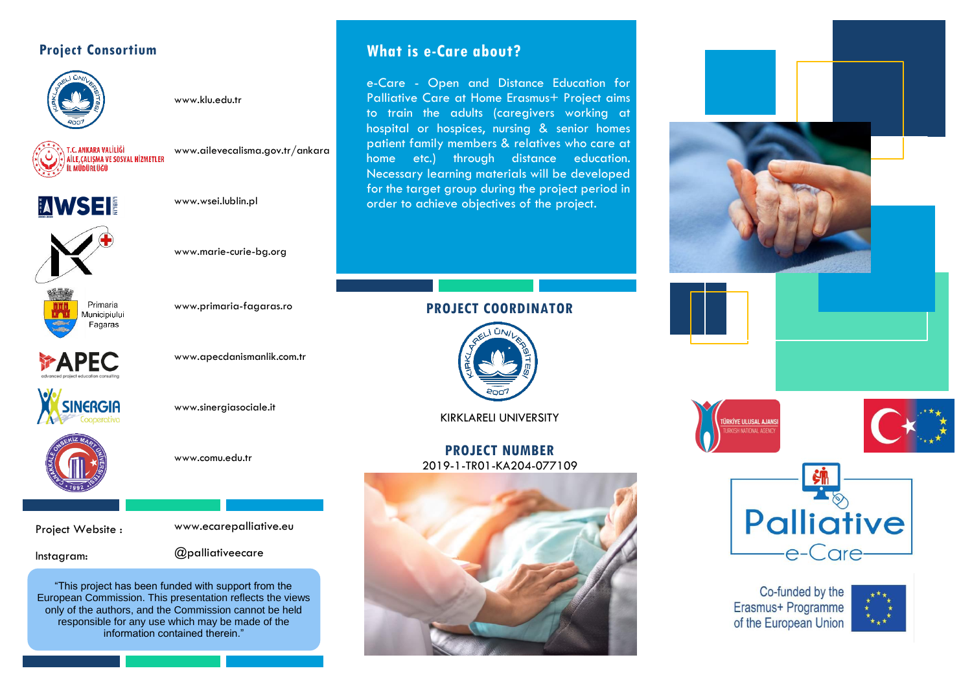## **Project Consortium**



[www.klu.edu.tr](http://www.klu.edu.tr/)



[www.ailevecalisma.gov.tr/ankara](http://www.ailevecalisma.gov.tr/ankara)



[www.wsei.lublin.pl](https://www.wsei.lublin.pl/)



[www.primaria-fagaras.ro](http://www.primaria-fagaras.ro/)

[www.apecdanismanlik.com.tr](https://www.apecdanismanlik.com.tr/)

www.marie-curie-bg.org

Primaria Municipiului Fagaras

**PAPEC** 



www.sinergiasociale.it



www.comu.edu.tr

Project Website :

Instagram:

www.ecarepalliative.eu

@palliativeecare

"This project has been funded with support from the European Commission. This presentation reflects the views only of the authors, and the Commission cannot be held responsible for any use which may be made of the information contained therein."

## **What is e-Care about?**

e-Care - Open and Distance Education for Palliative Care at Home Erasmus+ Project aims to train the adults (caregivers working at hospital or hospices, nursing & senior homes patient family members & relatives who care at home etc.) through distance education. Necessary learning materials will be developed for the target group during the project period in order to achieve objectives of the project.

## **PROJECT COORDINATOR**



KIRKLARELI UNIVERSITY

**PROJECT NUMBER** 2019-1-TR01-KA204-077109











Co-funded by the Erasmus+ Programme of the European Union